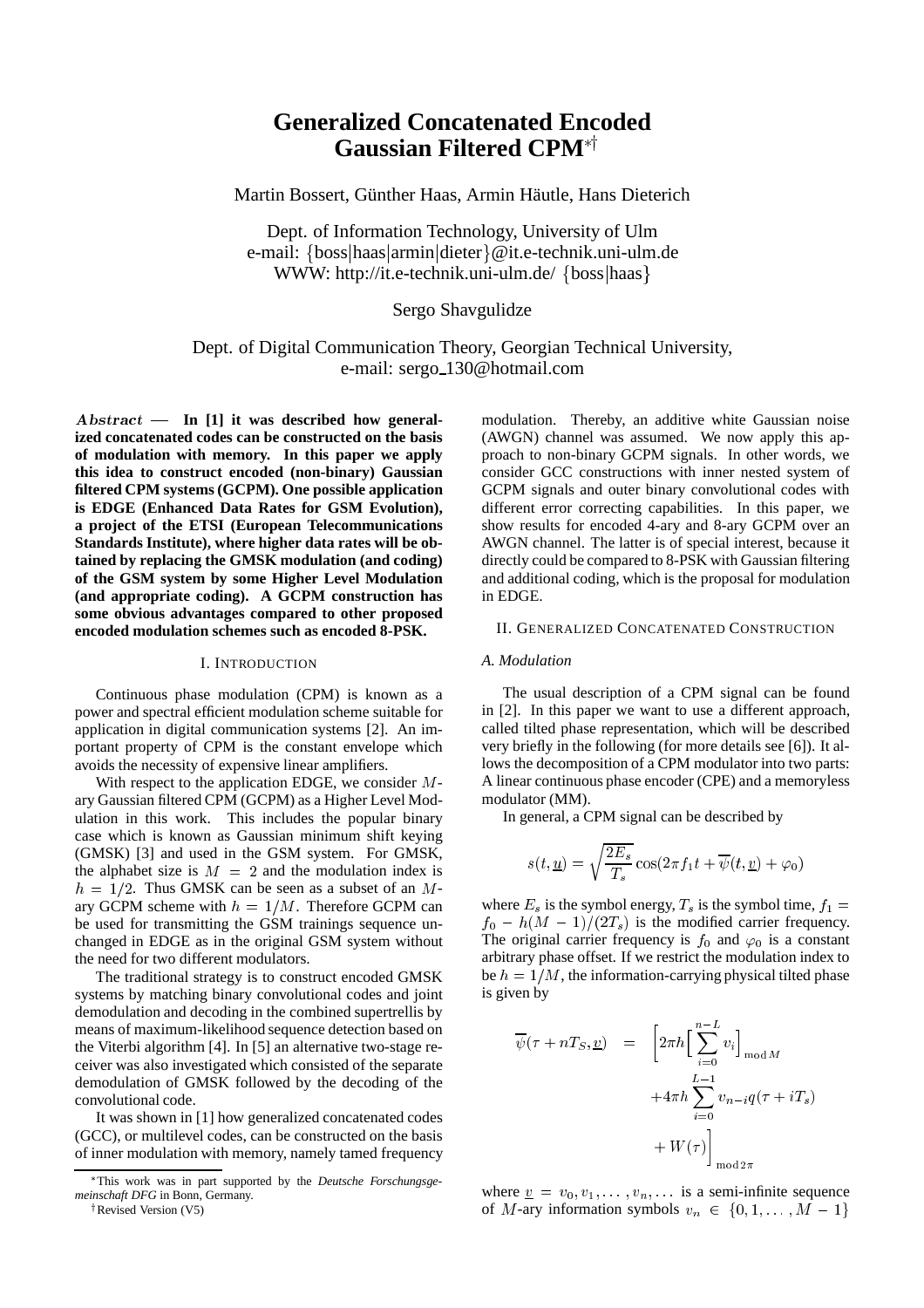# **Generalized Concatenated Encoded Gaussian Filtered CPM\***†

Martin Bossert, Günther Haas, Armin Häutle, Hans Dieterich

Dept. of Information Technology, University of Ulm e-mail: {boss|haas|armin|dieter}@it.e-technik.uni-ulm.de WWW: http://it.e-technik.uni-ulm.de/ {boss|haas}

### Sergo Shavgulidze

## Dept. of Digital Communication Theory, Georgian Technical University, e-mail: sergo 130@hotmail.com

Abstract - In [1] it was described how general**ized concatenated codes can be constructed on the basis of modulation with memory. In this paper we apply this idea to construct encoded (non-binary) Gaussian filtered CPM systems (GCPM). One possible application is EDGE (Enhanced Data Rates for GSM Evolution), a project of the ETSI (European Telecommunications Standards Institute), where higher data rates will be obtained by replacing the GMSK modulation (and coding) of the GSM system by some Higher Level Modulation (and appropriate coding). A GCPM construction has some obvious advantages compared to other proposed encoded modulation schemes such as encoded 8-PSK.**

#### I. INTRODUCTION

Continuous phase modulation (CPM) is known as a power and spectral efficient modulation scheme suitable for application in digital communication systems [2]. An important property of CPM is the constant envelope which avoids the necessity of expensive linear amplifiers.

With respect to the application EDGE, we consider <sup>M</sup>ary Gaussian filtered CPM (GCPM) as a Higher Level Modulation in this work. This includes the popular binary case which is known as Gaussian minimum shift keying (GMSK) [3] and used in the GSM system. For GMSK, the alphabet size is  $M = 2$  and the modulation index is  $h = 1/2$ . Thus GMSK can be seen as a subset of an Mary GCPM scheme with  $h = 1/M$ . Therefore GCPM can be used for transmitting the GSM trainings sequence unchanged in EDGE as in the original GSM system without the need for two different modulators.

The traditional strategy is to construct encoded GMSK systems by matching binary convolutional codes and joint demodulation and decoding in the combined supertrellis by means of maximum-likelihood sequence detection based on the Viterbi algorithm [4]. In [5] an alternative two-stage receiver was also investigated which consisted of the separate demodulation of GMSK followed by the decoding of the convolutional code.

It was shown in [1] how generalized concatenated codes (GCC), or multilevel codes, can be constructed on the basis of inner modulation with memory, namely tamed frequency

modulation. Thereby, an additive white Gaussian noise (AWGN) channel was assumed. We now apply this approach to non-binary GCPM signals. In other words, we consider GCC constructions with inner nested system of GCPM signals and outer binary convolutional codes with different error correcting capabilities. In this paper, we show results for encoded 4-ary and 8-ary GCPM over an AWGN channel. The latter is of special interest, because it directly could be compared to 8-PSK with Gaussian filtering and additional coding, which is the proposal for modulation in EDGE.

#### II. GENERALIZED CONCATENATED CONSTRUCTION

#### *A. Modulation*

The usual description of a CPM signal can be found in [2]. In this paper we want to use a different approach, called tilted phase representation, which will be described very briefly in the following (for more details see [6]). It allows the decomposition of a CPM modulator into two parts: A linear continuous phase encoder (CPE) and a memoryless modulator (MM).

In general, a CPM signal can be described by

$$
s(t, \underline{u}) = \sqrt{\frac{2E_s}{T_s}} \cos(2\pi f_1 t + \overline{\psi}(t, \underline{v}) + \varphi_0)
$$

where  $E_s$  is the symbol energy,  $T_s$  is the symbol time,  $f_1 =$  $f_0 - h(M - 1)/(2T_s)$  is the modified carrier frequency. The original carrier frequency is  $f_0$  and  $\varphi_0$  is a constant arbitrary phase offset. If we restrict the modulation index to be  $h = 1/M$ , the information-carrying physical tilted phase is given by

$$
\overline{\psi}(\tau + nT_S, \underline{v}) = \left[2\pi h \left[\sum_{i=0}^{n-L} v_i\right]_{\text{mod } M} + 4\pi h \sum_{i=0}^{L-1} v_{n-i} q(\tau + iT_s) + W(\tau)\right]_{\text{mod } 2\pi}
$$

where  $v = v_0, v_1, \ldots, v_n, \ldots$  is a semi-infinite sequence of M-ary information symbols  $v_n \in \{0, 1, \ldots, M - 1\}$ 

This work was in part supported by the *Deutsche Forschungsgemeinschaft DFG* in Bonn, Germany.

<sup>&</sup>lt;sup>†</sup> Revised Version (V5)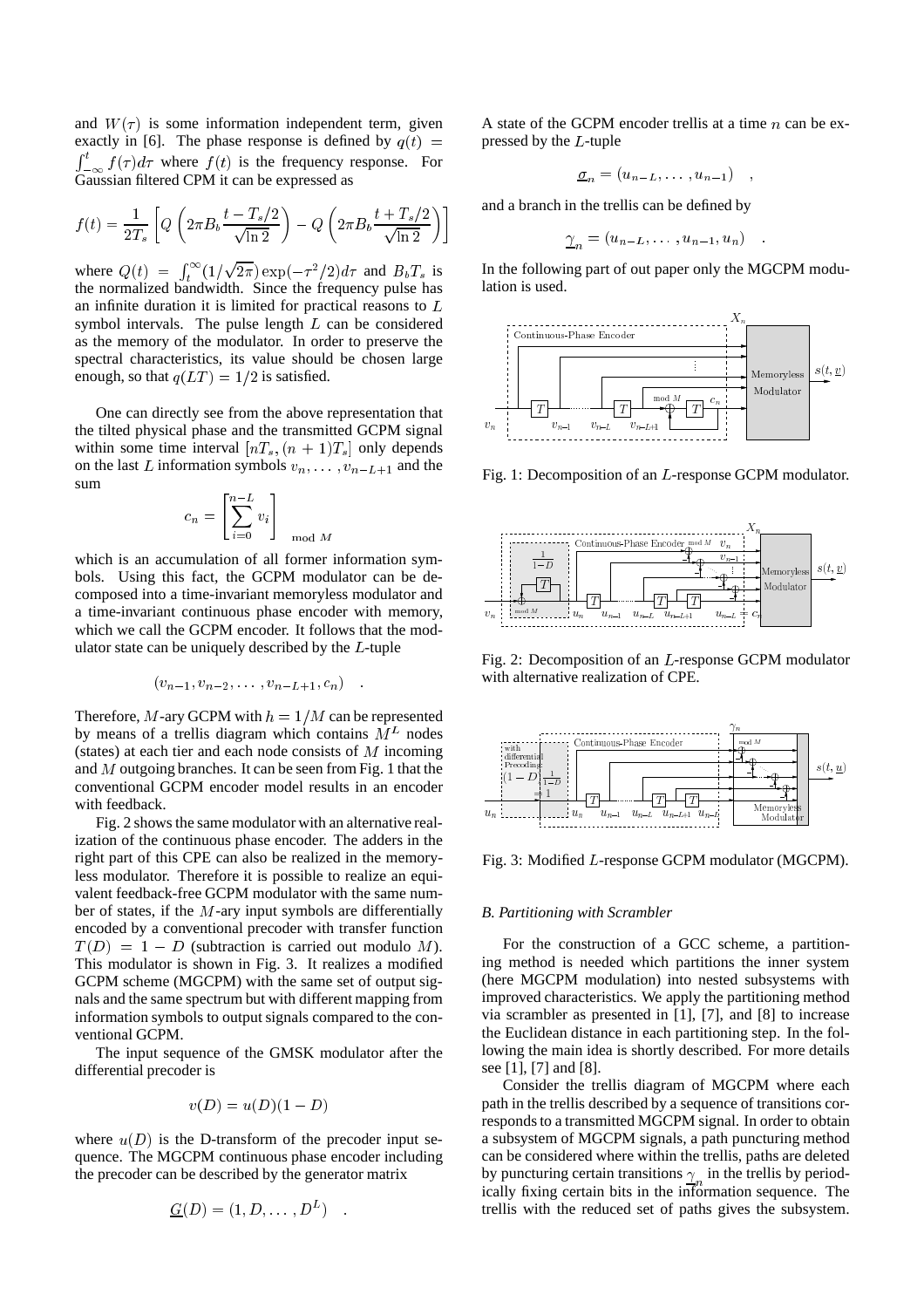and  $W(\tau)$  is some information independent term, given exactly in [6]. The phase response is defined by  $q(t)$  =  $\int_{-\infty}^{t} f(\tau) d\tau$  where  $f(t)$  is the frequency response. For Gaussian filtered CPM it can be expressed as

$$
f(t) = \frac{1}{2T_s} \left[ Q \left( 2\pi B_b \frac{t - T_s/2}{\sqrt{\ln 2}} \right) - Q \left( 2\pi B_b \frac{t + T_s/2}{\sqrt{\ln 2}} \right) \right]
$$

where  $Q(t) = \int_t^{\infty} (1/t) dt$ <sup>t</sup> the normalized bandwidth. Since the frequency pulse has <u>participate and the second second in the second second in the second second in the second second in the second second in the second second in the second second in the second second in the second second in the second secon</u>  $(2\pi) \exp(-\tau^2/2)d\tau$  and  $B_bT_s$  is an infinite duration it is limited for practical reasons to <sup>L</sup> symbol intervals. The pulse length  $L$  can be considered as the memory of the modulator. In order to preserve the spectral characteristics, its value should be chosen large enough, so that  $q(LT) = 1/2$  is satisfied.

One can directly see from the above representation that the tilted physical phase and the transmitted GCPM signal within some time interval  $[nT_s, (n + 1)T_s]$  only depends on the last L information symbols  $v_n, \ldots, v_{n-L+1}$  and the sum

$$
c_n = \left[\sum_{i=0}^{n-L} v_i\right]_{\mod M}
$$

which is an accumulation of all former information symbols. Using this fact, the GCPM modulator can be decomposed into a time-invariant memoryless modulator and a time-invariant continuous phase encoder with memory, which we call the GCPM encoder. It follows that the modulator state can be uniquely described by the <sup>L</sup>-tuple

$$
(v_{n-1}, v_{n-2}, \ldots, v_{n-L+1}, c_n)
$$

Therefore, M-ary GCPM with  $h = 1/M$  can be represented by means of a trellis diagram which contains  $M<sup>L</sup>$  nodes (states) at each tier and each node consists of  $M$  incoming and <sup>M</sup> outgoing branches. It can be seen from Fig. 1 that the conventional GCPM encoder model results in an encoder with feedback.

Fig. 2 shows the same modulator with an alternative realization of the continuous phase encoder. The adders in the right part of this CPE can also be realized in the memoryless modulator. Therefore it is possible to realize an equivalent feedback-free GCPM modulator with the same number of states, if the  $M$ -ary input symbols are differentially encoded by a conventional precoder with transfer function  $T(D) = 1 - D$  (subtraction is carried out modulo M). This modulator is shown in Fig. 3. It realizes a modified GCPM scheme (MGCPM) with the same set of output signals and the same spectrum but with different mapping from information symbols to output signals compared to the conventional GCPM.

The input sequence of the GMSK modulator after the differential precoder is

$$
v(D) = u(D)(1 - D)
$$

where  $u(D)$  is the D-transform of the precoder input sequence. The MGCPM continuous phase encoder including the precoder can be described by the generator matrix

$$
\underline{G}(D)=(1,D,\ldots,D^L)\quad.
$$

A state of the GCPM encoder trellis at a time  $n$  can be expressed by the <sup>L</sup>-tuple

$$
\underline{\sigma}_n = (u_{n-L}, \ldots, u_{n-1}) \quad ,
$$

and a branch in the trellis can be defined by

$$
\underline{\gamma}_n = (u_{n-L}, \dots, u_{n-1}, u_n) \quad .
$$

In the following part of out paper only the MGCPM modulation is used.



Fig. 1: Decomposition of an <sup>L</sup>-response GCPM modulator.



Fig. 2: Decomposition of an <sup>L</sup>-response GCPM modulator with alternative realization of CPE.



Fig. 3: Modified <sup>L</sup>-response GCPM modulator (MGCPM).

#### *B. Partitioning with Scrambler*

For the construction of a GCC scheme, a partitioning method is needed which partitions the inner system (here MGCPM modulation) into nested subsystems with improved characteristics. We apply the partitioning method via scrambler as presented in [1], [7], and [8] to increase the Euclidean distance in each partitioning step. In the following the main idea is shortly described. For more details see [1], [7] and [8].

Consider the trellis diagram of MGCPM where each path in the trellis described by a sequence of transitions corresponds to a transmitted MGCPM signal. In order to obtain a subsystem of MGCPM signals, a path puncturing method can be considered where within the trellis, paths are deleted by puncturing certain transitions  $\underline{\gamma}_n$  in the trellis by periodically fixing certain bits in the information sequence. The trellis with the reduced set of paths gives the subsystem.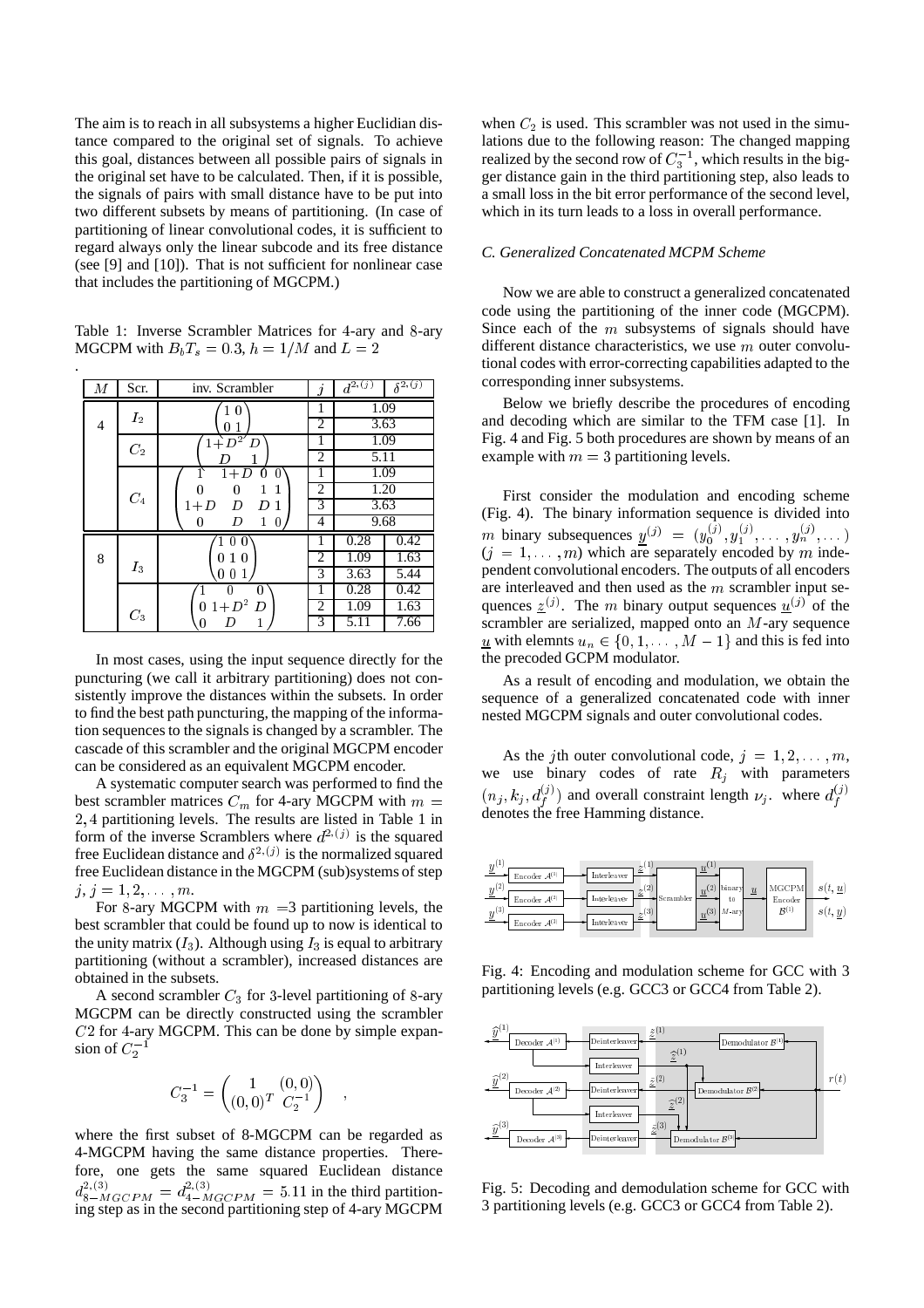The aim is to reach in all subsystems a higher Euclidian distance compared to the original set of signals. To achieve this goal, distances between all possible pairs of signals in the original set have to be calculated. Then, if it is possible, the signals of pairs with small distance have to be put into two different subsets by means of partitioning. (In case of partitioning of linear convolutional codes, it is sufficient to regard always only the linear subcode and its free distance (see [9] and [10]). That is not sufficient for nonlinear case that includes the partitioning of MGCPM.)

Table 1: Inverse Scrambler Matrices for <sup>4</sup>-ary and <sup>8</sup>-ary MGCPM with  $B_bT_s = 0.3$ ,  $h = 1/M$  and  $L = 2$ 

.

| М | Scr.            | inv. Scrambler                 | İ                   | $d^{2,\overline{(j)}}$ | $\delta^{2,\overline{(j)}}$ |  |
|---|-----------------|--------------------------------|---------------------|------------------------|-----------------------------|--|
|   | $I_2$           | 1<br>$\overline{0}$            | 1                   | 1.09                   |                             |  |
| 4 |                 | 0                              | 2                   | 3.63                   |                             |  |
|   | C <sub>2</sub>  | $1 + D^2$<br>D                 |                     | 1.09                   |                             |  |
|   |                 |                                | 2                   | 5.11                   |                             |  |
|   |                 | $1+D$<br>0<br>O                |                     | 1.09                   |                             |  |
|   | $\mathcal{C}_4$ | 0<br>1<br>1                    | $\overline{2}$<br>3 | 1.20                   |                             |  |
|   |                 | $1+D$<br>D<br>D<br>1           |                     | 3.63                   |                             |  |
|   |                 | 1<br>D<br>0<br>0               | 4                   | 9.68                   |                             |  |
|   |                 | $1\;0\;0^\cdot$                | 1                   | 0.28                   | 0.42                        |  |
| 8 | $I_3$           | $\mathbf{1}$<br>0<br>0         | $\overline{c}$      | 1.09                   | 1.63                        |  |
|   |                 | $\mathbf{1}$<br>0 <sub>0</sub> | $\overline{3}$      | 3.63                   | 5.44                        |  |
|   |                 | 0<br>0                         |                     | 0.28                   | 0.42                        |  |
|   | $C_3$           | $1+D^2$<br>D<br>0              | 2                   | 1.09                   | 1.63                        |  |
|   |                 | 1<br>0                         | 3                   | 5.11                   | 7.66                        |  |

In most cases, using the input sequence directly for the puncturing (we call it arbitrary partitioning) does not consistently improve the distances within the subsets. In order to find the best path puncturing, the mapping of the information sequences to the signals is changed by a scrambler. The cascade of this scrambler and the original MGCPM encoder can be considered as an equivalent MGCPM encoder.

A systematic computer search was performed to find the best scrambler matrices  $C_m$  for 4-ary MGCPM with  $m =$ 2; <sup>4</sup> partitioning levels. The results are listed in Table 1 in form of the inverse Scramblers where  $d^{2,(j)}$  is the squared free Euclidean distance and  $\delta^{2,(j)}$  is the normalized squared free Euclidean distance in the MGCPM (sub)systems of step  $j, j = 1, 2, \ldots, m.$ 

For 8-ary MGCPM with  $m = 3$  partitioning levels, the best scrambler that could be found up to now is identical to the unity matrix  $(I_3)$ . Although using  $I_3$  is equal to arbitrary partitioning (without a scrambler), increased distances are obtained in the subsets.

A second scrambler  $C_3$  for 3-level partitioning of 8-ary MGCPM can be directly constructed using the scrambler C2 for <sup>4</sup>-ary MGCPM. This can be done by simple expansion of  $C_2^-$ 

$$
C_3^{-1} = \begin{pmatrix} 1 & (0,0) \\ (0,0)^T & C_2^{-1} \end{pmatrix}
$$

;

where the first subset of 8-MGCPM can be regarded as 4-MGCPM having the same distance properties. Therefore, one gets the same squared Euclidean distance  $d_{8-MGCPM}^{2,(3)} = d_{4-MGCPM}^{2,(3)} = 5.11$  in the third partitioning step as in the second partitioning step of 4-ary MGCPM when  $C_2$  is used. This scrambler was not used in the simulations due to the following reason: The changed mapping realized by the second row of  $C_3^{-1}$ , which results in the bigger distance gain in the third partitioning step, also leads to a small loss in the bit error performance of the second level, which in its turn leads to a loss in overall performance.

#### *C. Generalized Concatenated MCPM Scheme*

Now we are able to construct a generalized concatenated code using the partitioning of the inner code (MGCPM). Since each of the  $m$  subsystems of signals should have different distance characteristics, we use m outer convolutional codes with error-correcting capabilities adapted to the corresponding inner subsystems.

Below we briefly describe the procedures of encoding and decoding which are similar to the TFM case [1]. In Fig. 4 and Fig. 5 both procedures are shown by means of an example with  $m = 3$  partitioning levels.

First consider the modulation and encoding scheme (Fig. 4). The binary information sequence is divided into *m* binary subsequences  $y^{(j)} = (y_0^{(j)}, y_1^{(j)}, \dots, y_n^{(j)}, \dots)$  $(j = 1, \ldots, m)$  which are separately encoded by m independent convolutional encoders. The outputs of all encoders are interleaved and then used as the <sup>m</sup> scrambler input sequences  $\underline{z}^{(j)}$ . The m binary output sequences  $\underline{u}^{(j)}$  of the scrambler are serialized, mapped onto an <sup>M</sup>-ary sequence  $\underline{u}$  with elemnts  $u_n \in \{0, 1, \dots, M-1\}$  and this is fed into the precoded GCPM modulator.

As a result of encoding and modulation, we obtain the sequence of a generalized concatenated code with inner nested MGCPM signals and outer convolutional codes.

As the jth outer convolutional code,  $j = 1, 2, \ldots, m$ , we use binary codes of rate  $R_i$  with parameters  $(n_j, k_j, d_f^{(j)})$  and overall constraint length  $\nu_j$ , where  $d_f^{(j)}$ denotes the free Hamming distance.  $\cdot$ 



Fig. 4: Encoding and modulation scheme for GCC with 3 partitioning levels (e.g. GCC3 or GCC4 from Table 2).



Fig. 5: Decoding and demodulation scheme for GCC with 3 partitioning levels (e.g. GCC3 or GCC4 from Table 2).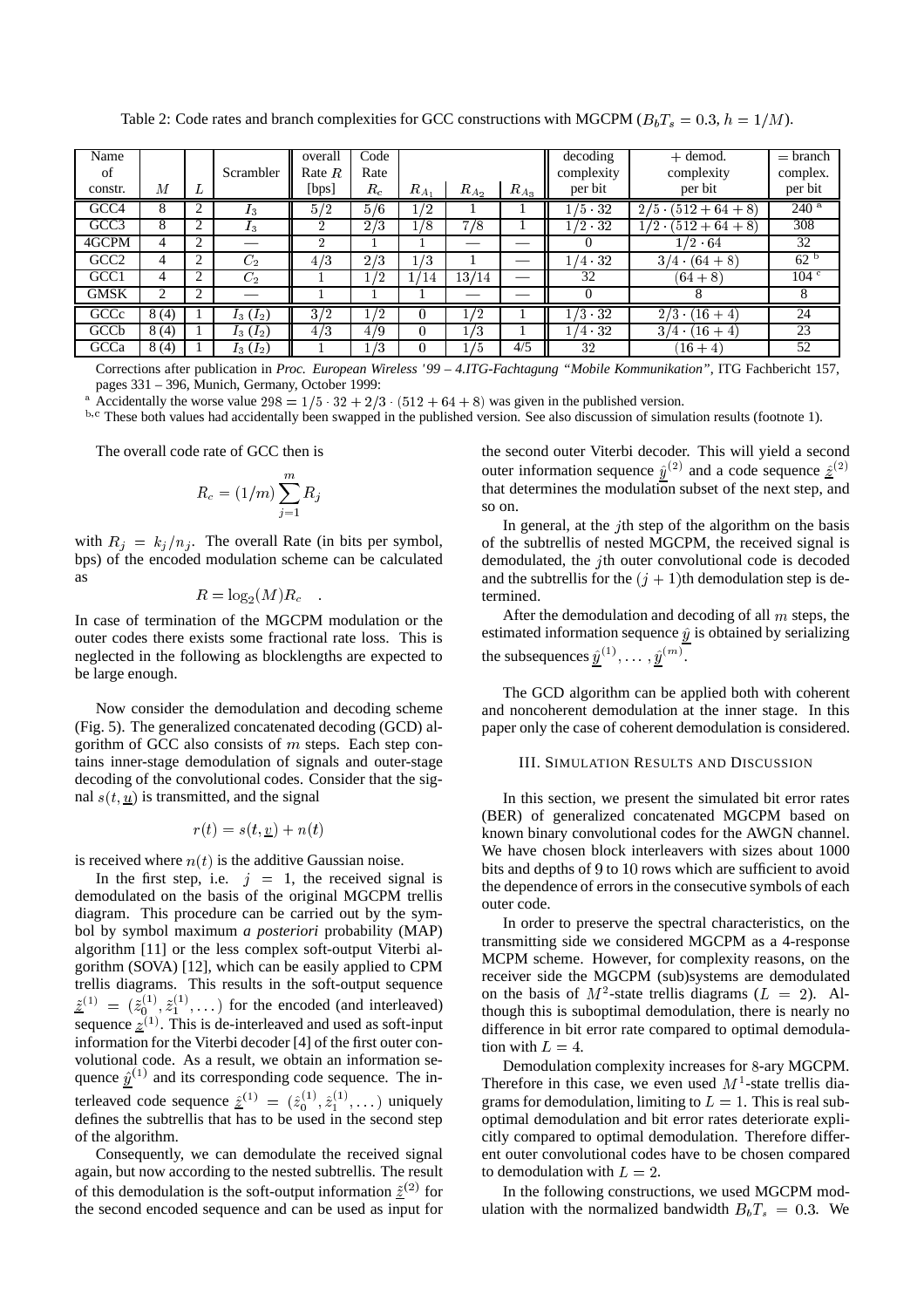| Name             |      |                    |                | overall        | Code  |            |            |           | decoding          | $+$ demod.                       | $=$ branch       |
|------------------|------|--------------------|----------------|----------------|-------|------------|------------|-----------|-------------------|----------------------------------|------------------|
| of               |      |                    | Scrambler      | Rate $R$       | Rate  |            |            |           | complexity        | complexity                       | complex.         |
| constr.          | М    | L                  |                | [bps]          | $R_c$ | $R_{A_1}$  | $R_{A_2}$  | $R_{A_3}$ | per bit           | per bit                          | per bit          |
| GCC4             | 8    | ◠                  | $I_3$          | 5/2            | 5/6   | $\sqrt{2}$ |            |           | $/5$ 32           | $2/5$ .<br>$512 + 64 + 8$        | $240^{a}$        |
| GCC <sub>3</sub> | 8    | ◠                  | $I_3$          | ົ              | 2/3   | 18         | 7/8        |           | $/2 \frac{32}{3}$ | $512+64+8$                       | 308              |
| 4GCPM            | 4    | 2                  |                | $\overline{2}$ |       |            |            |           | $\theta$          | $\sqrt{2} \cdot 64$              | 32               |
| GCC <sub>2</sub> | 4    | 2                  | $C_{2}$        | 4/3            | 2/3   | 1/3        |            |           | /4.32             | $(64 + 8)$<br>3/4                | 62 <sup>b</sup>  |
| GCC1             | 4    | $\overline{2}$     | C <sub>2</sub> |                | /2    | l/14       | 13/<br>/14 | —         | 32                | $(64+8)$                         | 104 <sup>c</sup> |
| <b>GMSK</b>      | 2    | $\mathcal{L}$<br>∠ |                |                |       |            |            |           | $\Omega$          | 8                                | 8                |
| GCCc             | 8(4) |                    | $I_3(I_2)$     | 3/2            | /2    |            | /2         |           | $/3$ 32           | 2/3<br>$(16 + 4)$<br><b>1999</b> | 24               |
| GCCb             | 8(4) |                    | $I_3(I_2)$     | 4/3            | 4/9   |            | 1/3        |           | $(4 \t32$         | $(16 + 4)$<br>$3/4$ (            | 23               |
| GCCa             | 8(4) |                    | $I_3(I_2)$     |                | /3    |            | 1/5        | 4/5       | 32                | $16 + 4$                         | 52               |

Table 2: Code rates and branch complexities for GCC constructions with MGCPM ( $B_bT_s = 0.3$ ,  $h = 1/M$ ).

Corrections after publication in *Proc. European Wireless '99 – 4.ITG-Fachtagung "Mobile Kommunikation"*, ITG Fachbericht 157, pages 331 – 396, Munich, Germany, October 1999:

Accidentally the worse value  $298 = 1/5 \cdot 32 + 2/3 \cdot (512 + 64 + 8)$  was given in the published version.

<sup>b,c</sup> These both values had accidentally been swapped in the published version. See also discussion of simulation results (footnote 1).

The overall code rate of GCC then is

$$
R_c = (1/m) \sum_{j=1}^m R_j
$$

with  $R_j = k_j / n_j$ . The overall Rate (in bits per symbol, bps) of the encoded modulation scheme can be calculated as

$$
R = \log_2(M) R_c
$$

In case of termination of the MGCPM modulation or the outer codes there exists some fractional rate loss. This is neglected in the following as blocklengths are expected to be large enough.

Now consider the demodulation and decoding scheme (Fig. 5). The generalized concatenated decoding (GCD) algorithm of GCC also consists of  $m$  steps. Each step contains inner-stage demodulation of signals and outer-stage decoding of the convolutional codes. Consider that the signal  $s(t, u)$  is transmitted, and the signal

$$
r(t) = s(t, \underline{v}) + n(t)
$$

is received where  $n(t)$  is the additive Gaussian noise.

In the first step, i.e.  $j = 1$ , the received signal is demodulated on the basis of the original MGCPM trellis diagram. This procedure can be carried out by the symbol by symbol maximum *a posteriori* probability (MAP) algorithm [11] or the less complex soft-output Viterbi algorithm (SOVA) [12], which can be easily applied to CPM trellis diagrams. This results in the soft-output sequence  $\tilde{z}^{(1)} = (\tilde{z}_0^{(1)}, \tilde{z}_1^{(1)}, \dots)$  for the encoded (and interleaved) sequence  $z^{(1)}$ . This is de-interleaved and used as soft-input information for the Viterbi decoder [4] of the first outer convolutional code. As a result, we obtain an information sequence  $\hat{y}^{(1)}$  and its corresponding code sequence. The interleaved code sequence  $\hat{\underline{z}}^{(1)} = (\hat{z}_0^{(1)}, \hat{z}_1^{(1)}, \dots)$  uniquely defines the subtrellis that has to be used in the second step of the algorithm.

Consequently, we can demodulate the received signal again, but now according to the nested subtrellis. The result of this demodulation is the soft-output information  $\tilde{z}^{(2)}$  for the second encoded sequence and can be used as input for the second outer Viterbi decoder. This will yield a second outer information sequence  $\hat{y}^{(2)}$  and a code sequence  $\hat{z}^{(2)}$ that determines the modulation subset of the next step, and so on.

In general, at the *j*th step of the algorithm on the basis of the subtrellis of nested MGCPM, the received signal is demodulated, the <sup>j</sup>th outer convolutional code is decoded and the subtrellis for the  $(j + 1)$ th demodulation step is determined.

After the demodulation and decoding of all <sup>m</sup> steps, the estimated information sequence  $\hat{y}$  is obtained by serializing the subsequences  $\hat{y}^{(1)}, \ldots, \hat{y}^{(m)}$ .

The GCD algorithm can be applied both with coherent and noncoherent demodulation at the inner stage. In this paper only the case of coherent demodulation is considered.

#### III. SIMULATION RESULTS AND DISCUSSION

In this section, we present the simulated bit error rates (BER) of generalized concatenated MGCPM based on known binary convolutional codes for the AWGN channel. We have chosen block interleavers with sizes about 1000 bits and depths of <sup>9</sup> to <sup>10</sup> rows which are sufficient to avoid the dependence of errors in the consecutive symbols of each outer code.

In order to preserve the spectral characteristics, on the transmitting side we considered MGCPM as a 4-response MCPM scheme. However, for complexity reasons, on the receiver side the MGCPM (sub)systems are demodulated on the basis of  $M^2$ -state trellis diagrams ( $L = 2$ ). Although this is suboptimal demodulation, there is nearly no difference in bit error rate compared to optimal demodulation with  $L = 4$ .

Demodulation complexity increases for <sup>8</sup>-ary MGCPM. Therefore in this case, we even used  $M<sup>1</sup>$ -state trellis diagrams for demodulation, limiting to  $L = 1$ . This is real suboptimal demodulation and bit error rates deteriorate explicitly compared to optimal demodulation. Therefore different outer convolutional codes have to be chosen compared to demodulation with  $L = 2$ .

In the following constructions, we used MGCPM modulation with the normalized bandwidth  $B_bT_s = 0.3$ . We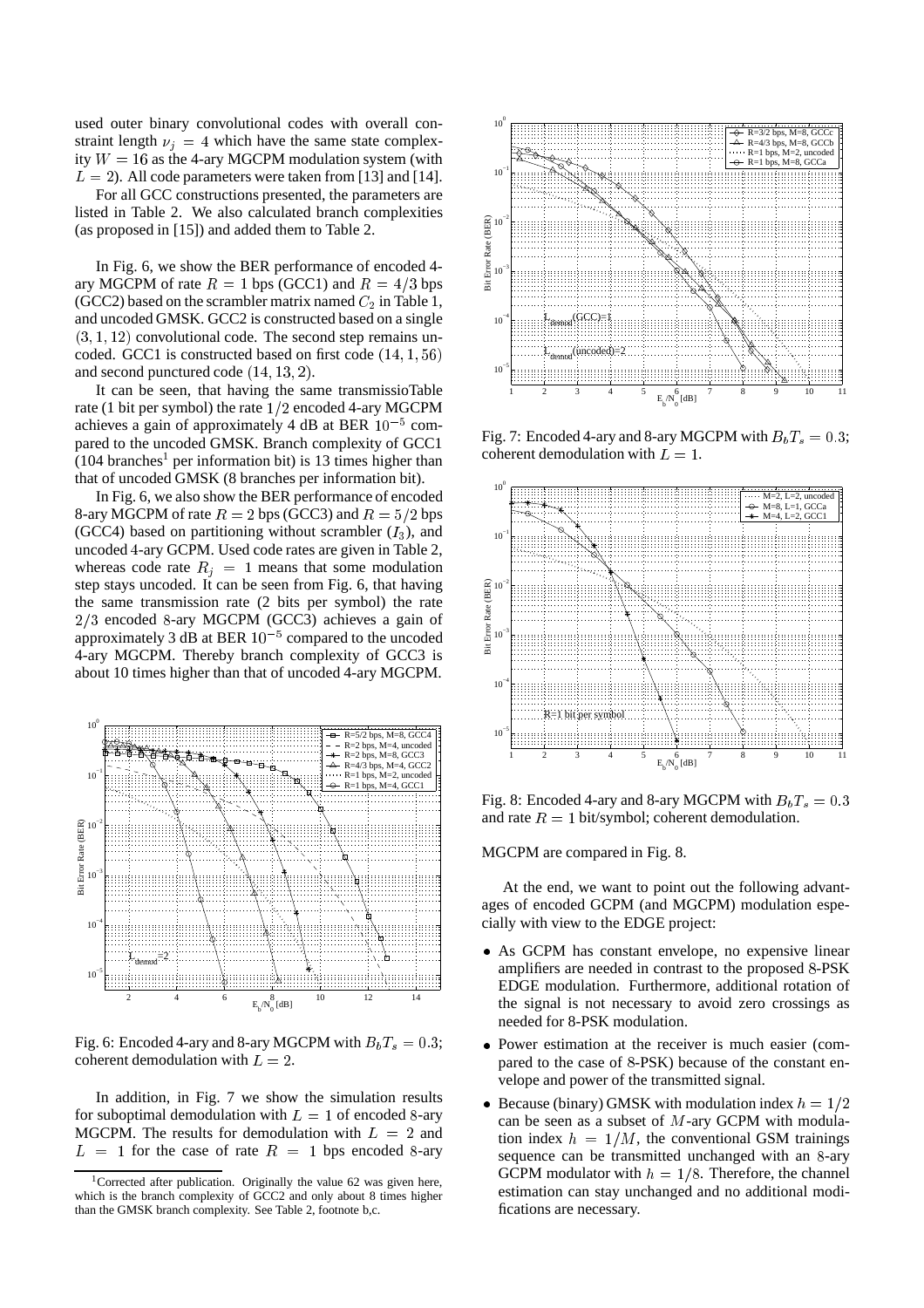used outer binary convolutional codes with overall constraint length  $\nu_j = 4$  which have the same state complexity  $W = 16$  as the 4-ary MGCPM modulation system (with  $L = 2$ ). All code parameters were taken from [13] and [14].

For all GCC constructions presented, the parameters are listed in Table 2. We also calculated branch complexities (as proposed in [15]) and added them to Table 2.

In Fig. 6, we show the BER performance of encoded 4 ary MGCPM of rate  $R = 1$  bps (GCC1) and  $R = 4/3$  bps (GCC2) based on the scrambler matrix named  $C_2$  in Table 1, and uncoded GMSK. GCC2 is constructed based on a single  $(3, 1, 12)$  convolutional code. The second step remains uncoded. GCC1 is constructed based on first code  $(14, 1, 56)$ and second punctured code  $(14, 13, 2)$ .

It can be seen, that having the same transmissioTable rate (1 bit per symbol) the rate  $1/2$  encoded 4-ary MGCPM achieves a gain of approximately 4 dB at BER  $10^{-5}$  compared to the uncoded GMSK. Branch complexity of GCC1  $(104 \text{ branches}^1 \text{ per information bit})$  is 13 times higher than that of uncoded GMSK (8 branches per information bit).

In Fig. 6, we also show the BER performance of encoded 8-ary MGCPM of rate  $R = 2$  bps (GCC3) and  $R = 5/2$  bps (GCC4) based on partitioning without scrambler  $(I_3)$ , and uncoded <sup>4</sup>-ary GCPM. Used code rates are given in Table 2, whereas code rate  $R_j = 1$  means that some modulation step stays uncoded. It can be seen from Fig. 6, that having the same transmission rate (2 bits per symbol) the rate  $2/3$  encoded 8-ary MGCPM (GCC3) achieves a gain of approximately 3 dB at BER  $10^{-5}$  compared to the uncoded 4-ary MGCPM. Thereby branch complexity of GCC3 is about 10 times higher than that of uncoded 4-ary MGCPM.



Fig. 6: Encoded 4-ary and 8-ary MGCPM with  $B_bT_s = 0.3$ ; coherent demodulation with  $L = 2$ .

In addition, in Fig. 7 we show the simulation results for suboptimal demodulation with  $L = 1$  of encoded 8-ary MGCPM. The results for demodulation with  $L = 2$  and  $L = 1$  for the case of rate  $R = 1$  bps encoded 8-ary



Fig. 7: Encoded 4-ary and 8-ary MGCPM with  $B_bT_s = 0.3$ ; coherent demodulation with  $\vec{L} = 1$ .



Fig. 8: Encoded 4-ary and 8-ary MGCPM with  $B_bT_s = 0.3$ and rate  $R = 1$  bit/symbol; coherent demodulation.

MGCPM are compared in Fig. 8.

At the end, we want to point out the following advantages of encoded GCPM (and MGCPM) modulation especially with view to the EDGE project:

- As GCPM has constant envelope, no expensive linear amplifiers are needed in contrast to the proposed <sup>8</sup>-PSK EDGE modulation. Furthermore, additional rotation of the signal is not necessary to avoid zero crossings as needed for 8-PSK modulation.
- Power estimation at the receiver is much easier (compared to the case of <sup>8</sup>-PSK) because of the constant envelope and power of the transmitted signal.
- Because (binary) GMSK with modulation index  $h = 1/2$ can be seen as a subset of  $M$ -ary GCPM with modulation index  $h = 1/M$ , the conventional GSM trainings sequence can be transmitted unchanged with an <sup>8</sup>-ary GCPM modulator with  $h = 1/8$ . Therefore, the channel estimation can stay unchanged and no additional modifications are necessary.

<sup>&</sup>lt;sup>1</sup>Corrected after publication. Originally the value 62 was given here, which is the branch complexity of GCC2 and only about 8 times higher than the GMSK branch complexity. See Table 2, footnote b,c.